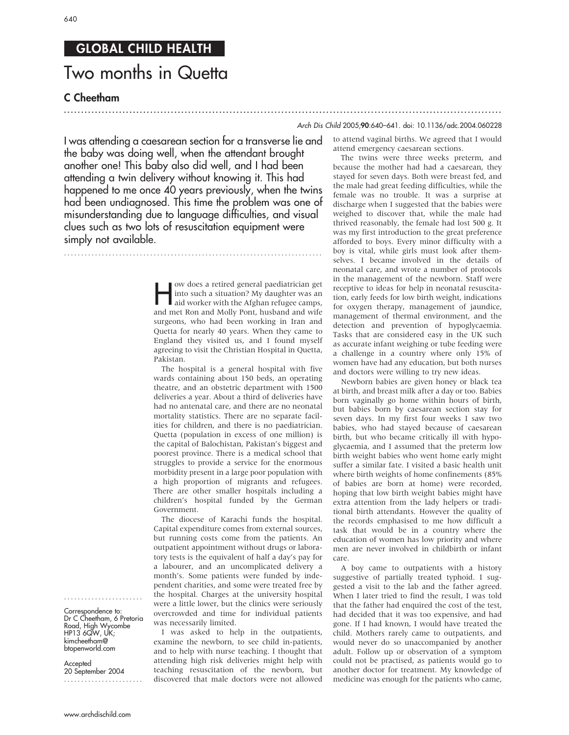## GLOBAL CHILD HEALTH

# Two months in Quetta

### C Cheetham

#### Arch Dis Child 2005;90:640–641. doi: 10.1136/adc.2004.060228

I was attending a caesarean section for a transverse lie and the baby was doing well, when the attendant brought another one! This baby also did well, and I had been attending a twin delivery without knowing it. This had happened to me once 40 years previously, when the twins had been undiagnosed. This time the problem was one of misunderstanding due to language difficulties, and visual clues such as two lots of resuscitation equipment were simply not available.

...........................................................................

w does a retired general paediatrician get<br>
into such a situation? My daughter was an<br>
aid worker with the Afghan refugee camps, into such a situation? My daughter was an and met Ron and Molly Pont, husband and wife surgeons, who had been working in Iran and Quetta for nearly 40 years. When they came to England they visited us, and I found myself agreeing to visit the Christian Hospital in Quetta, Pakistan.

...............................................................................................................................

The hospital is a general hospital with five wards containing about 150 beds, an operating theatre, and an obstetric department with 1500 deliveries a year. About a third of deliveries have had no antenatal care, and there are no neonatal mortality statistics. There are no separate facilities for children, and there is no paediatrician. Quetta (population in excess of one million) is the capital of Balochistan, Pakistan's biggest and poorest province. There is a medical school that struggles to provide a service for the enormous morbidity present in a large poor population with a high proportion of migrants and refugees. There are other smaller hospitals including a children's hospital funded by the German Government.

The diocese of Karachi funds the hospital. Capital expenditure comes from external sources, but running costs come from the patients. An outpatient appointment without drugs or laboratory tests is the equivalent of half a day's pay for a labourer, and an uncomplicated delivery a month's. Some patients were funded by independent charities, and some were treated free by the hospital. Charges at the university hospital were a little lower, but the clinics were seriously overcrowded and time for individual patients was necessarily limited.

I was asked to help in the outpatients, examine the newborn, to see child in-patients, and to help with nurse teaching. I thought that attending high risk deliveries might help with teaching resuscitation of the newborn, but discovered that male doctors were not allowed

to attend vaginal births. We agreed that I would attend emergency caesarean sections.

The twins were three weeks preterm, and because the mother had had a caesarean, they stayed for seven days. Both were breast fed, and the male had great feeding difficulties, while the female was no trouble. It was a surprise at discharge when I suggested that the babies were weighed to discover that, while the male had thrived reasonably, the female had lost 500 g. It was my first introduction to the great preference afforded to boys. Every minor difficulty with a boy is vital, while girls must look after themselves. I became involved in the details of neonatal care, and wrote a number of protocols in the management of the newborn. Staff were receptive to ideas for help in neonatal resuscitation, early feeds for low birth weight, indications for oxygen therapy, management of jaundice, management of thermal environment, and the detection and prevention of hypoglycaemia. Tasks that are considered easy in the UK such as accurate infant weighing or tube feeding were a challenge in a country where only 15% of women have had any education, but both nurses and doctors were willing to try new ideas.

Newborn babies are given honey or black tea at birth, and breast milk after a day or too. Babies born vaginally go home within hours of birth, but babies born by caesarean section stay for seven days. In my first four weeks I saw two babies, who had stayed because of caesarean birth, but who became critically ill with hypoglycaemia, and I assumed that the preterm low birth weight babies who went home early might suffer a similar fate. I visited a basic health unit where birth weights of home confinements (85% of babies are born at home) were recorded, hoping that low birth weight babies might have extra attention from the lady helpers or traditional birth attendants. However the quality of the records emphasised to me how difficult a task that would be in a country where the education of women has low priority and where men are never involved in childbirth or infant care.

A boy came to outpatients with a history suggestive of partially treated typhoid. I suggested a visit to the lab and the father agreed. When I later tried to find the result, I was told that the father had enquired the cost of the test, had decided that it was too expensive, and had gone. If I had known, I would have treated the child. Mothers rarely came to outpatients, and would never do so unaccompanied by another adult. Follow up or observation of a symptom could not be practised, as patients would go to another doctor for treatment. My knowledge of medicine was enough for the patients who came,

Correspondence to: Dr C Cheetham, 6 Pretoria Road, High Wycombe HP13 6QW, UK; kimcheetham@ btopenworld.com

.......................

**Accepted** 20 September 2004 .......................